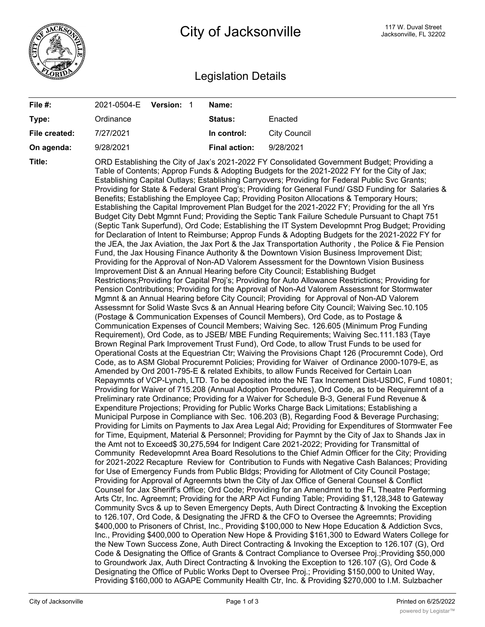

## Legislation Details

| File #:       | 2021-0504-E Version: 1 | Name:                |                                                                                                                                                                                                                                                                                                                                                                                                                                                                                                                                                                                                                                                                                                                                                                                                                                                                                                                                                                                                                                                                                                                                                                                                                                                                                                                                                                                                                                                                                                                                                                                                                                                                                                                                                                                                                                                                                                                                                                                                                                                                                                                                                                                                                                                                                                                                                                                                                                                                                                                                                                                                                                                                                                                                                                                                                                                                                                                                                                                                                                                                                                                                                                                                                                                                                                                                                                                                                                                                                                                                                                                                                                                                                                                                                                                                                                                                                                                                                                                                                                                                                                                                                                                                                                                                                                                                                                                                                                                                                                                                                                                                                                                                                                                                              |
|---------------|------------------------|----------------------|----------------------------------------------------------------------------------------------------------------------------------------------------------------------------------------------------------------------------------------------------------------------------------------------------------------------------------------------------------------------------------------------------------------------------------------------------------------------------------------------------------------------------------------------------------------------------------------------------------------------------------------------------------------------------------------------------------------------------------------------------------------------------------------------------------------------------------------------------------------------------------------------------------------------------------------------------------------------------------------------------------------------------------------------------------------------------------------------------------------------------------------------------------------------------------------------------------------------------------------------------------------------------------------------------------------------------------------------------------------------------------------------------------------------------------------------------------------------------------------------------------------------------------------------------------------------------------------------------------------------------------------------------------------------------------------------------------------------------------------------------------------------------------------------------------------------------------------------------------------------------------------------------------------------------------------------------------------------------------------------------------------------------------------------------------------------------------------------------------------------------------------------------------------------------------------------------------------------------------------------------------------------------------------------------------------------------------------------------------------------------------------------------------------------------------------------------------------------------------------------------------------------------------------------------------------------------------------------------------------------------------------------------------------------------------------------------------------------------------------------------------------------------------------------------------------------------------------------------------------------------------------------------------------------------------------------------------------------------------------------------------------------------------------------------------------------------------------------------------------------------------------------------------------------------------------------------------------------------------------------------------------------------------------------------------------------------------------------------------------------------------------------------------------------------------------------------------------------------------------------------------------------------------------------------------------------------------------------------------------------------------------------------------------------------------------------------------------------------------------------------------------------------------------------------------------------------------------------------------------------------------------------------------------------------------------------------------------------------------------------------------------------------------------------------------------------------------------------------------------------------------------------------------------------------------------------------------------------------------------------------------------------------------------------------------------------------------------------------------------------------------------------------------------------------------------------------------------------------------------------------------------------------------------------------------------------------------------------------------------------------------------------------------------------------------------------------------------------------------------------|
| Type:         | Ordinance              | Status:              | Enacted                                                                                                                                                                                                                                                                                                                                                                                                                                                                                                                                                                                                                                                                                                                                                                                                                                                                                                                                                                                                                                                                                                                                                                                                                                                                                                                                                                                                                                                                                                                                                                                                                                                                                                                                                                                                                                                                                                                                                                                                                                                                                                                                                                                                                                                                                                                                                                                                                                                                                                                                                                                                                                                                                                                                                                                                                                                                                                                                                                                                                                                                                                                                                                                                                                                                                                                                                                                                                                                                                                                                                                                                                                                                                                                                                                                                                                                                                                                                                                                                                                                                                                                                                                                                                                                                                                                                                                                                                                                                                                                                                                                                                                                                                                                                      |
| File created: | 7/27/2021              | In control:          | <b>City Council</b>                                                                                                                                                                                                                                                                                                                                                                                                                                                                                                                                                                                                                                                                                                                                                                                                                                                                                                                                                                                                                                                                                                                                                                                                                                                                                                                                                                                                                                                                                                                                                                                                                                                                                                                                                                                                                                                                                                                                                                                                                                                                                                                                                                                                                                                                                                                                                                                                                                                                                                                                                                                                                                                                                                                                                                                                                                                                                                                                                                                                                                                                                                                                                                                                                                                                                                                                                                                                                                                                                                                                                                                                                                                                                                                                                                                                                                                                                                                                                                                                                                                                                                                                                                                                                                                                                                                                                                                                                                                                                                                                                                                                                                                                                                                          |
| On agenda:    | 9/28/2021              | <b>Final action:</b> | 9/28/2021                                                                                                                                                                                                                                                                                                                                                                                                                                                                                                                                                                                                                                                                                                                                                                                                                                                                                                                                                                                                                                                                                                                                                                                                                                                                                                                                                                                                                                                                                                                                                                                                                                                                                                                                                                                                                                                                                                                                                                                                                                                                                                                                                                                                                                                                                                                                                                                                                                                                                                                                                                                                                                                                                                                                                                                                                                                                                                                                                                                                                                                                                                                                                                                                                                                                                                                                                                                                                                                                                                                                                                                                                                                                                                                                                                                                                                                                                                                                                                                                                                                                                                                                                                                                                                                                                                                                                                                                                                                                                                                                                                                                                                                                                                                                    |
| Title:        |                        |                      | ORD Establishing the City of Jax's 2021-2022 FY Consolidated Government Budget; Providing a<br>Table of Contents; Approp Funds & Adopting Budgets for the 2021-2022 FY for the City of Jax;<br>Establishing Capital Outlays; Establishing Carryovers; Providing for Federal Public Svc Grants;<br>Providing for State & Federal Grant Prog's; Providing for General Fund/ GSD Funding for Salaries &<br>Benefits; Establishing the Employee Cap; Providing Positon Allocations & Temporary Hours;<br>Establishing the Capital Improvement Plan Budget for the 2021-2022 FY; Providing for the all Yrs<br>Budget City Debt Mgmnt Fund; Providing the Septic Tank Failure Schedule Pursuant to Chapt 751<br>(Septic Tank Superfund), Ord Code; Establishing the IT System Developmnt Prog Budget; Providing<br>for Declaration of Intent to Reimburse; Approp Funds & Adopting Budgets for the 2021-2022 FY for<br>the JEA, the Jax Aviation, the Jax Port & the Jax Transportation Authority, the Police & Fie Pension<br>Fund, the Jax Housing Finance Authority & the Downtown Vision Business Improvement Dist;<br>Providing for the Approval of Non-AD Valorem Assessment for the Downtown Vision Business<br>Improvement Dist & an Annual Hearing before City Council; Establishing Budget<br>Restrictions; Providing for Capital Proj's; Providing for Auto Allowance Restrictions; Providing for<br>Pension Contributions; Providing for the Approval of Non-Ad Valorem Assessmnt for Stormwater<br>Mgmnt & an Annual Hearing before City Council; Providing for Approval of Non-AD Valorem<br>Assessmnt for Solid Waste Svcs & an Annual Hearing before City Council; Waiving Sec.10.105<br>(Postage & Communication Expenses of Council Members), Ord Code, as to Postage &<br>Communication Expenses of Council Members; Waiving Sec. 126.605 (Minimum Prog Funding<br>Requirement), Ord Code, as to JSEB/ MBE Funding Requirements; Waiving Sec.111.183 (Taye<br>Brown Reginal Park Improvement Trust Fund), Ord Code, to allow Trust Funds to be used for<br>Operational Costs at the Equestrian Ctr; Waiving the Provisions Chapt 126 (Procuremnt Code), Ord<br>Code, as to ASM Global Procuremnt Policies; Providing for Waiver of Ordinance 2000-1079-E, as<br>Amended by Ord 2001-795-E & related Exhibits, to allow Funds Received for Certain Loan<br>Repaymnts of VCP-Lynch, LTD. To be deposited into the NE Tax Increment Dist-USDIC, Fund 10801;<br>Providing for Waiver of 715.208 (Annual Adoption Procedures), Ord Code, as to be Requiremnt of a<br>Preliminary rate Ordinance; Providing for a Waiver for Schedule B-3, General Fund Revenue &<br>Expenditure Projections; Providing for Public Works Charge Back Limitations; Establishing a<br>Municipal Purpose in Compliance with Sec. 106.203 (B), Regarding Food & Beverage Purchasing;<br>Providing for Limits on Payments to Jax Area Legal Aid; Providing for Expenditures of Stormwater Fee<br>for Time, Equipment, Material & Personnel; Providing for Paymnt by the City of Jax to Shands Jax in<br>the Amt not to Exceed\$ 30,275,594 for Indigent Care 2021-2022; Providing for Transmittal of<br>Community Redevelopmnt Area Board Resolutions to the Chief Admin Officer for the City; Providing<br>for 2021-2022 Recapture Review for Contribution to Funds with Negative Cash Balances; Providing<br>for Use of Emergency Funds from Public Bldgs; Providing for Allotment of City Council Postage;<br>Providing for Approval of Agreemnts btwn the City of Jax Office of General Counsel & Conflict<br>Counsel for Jax Sheriff's Office; Ord Code; Providing for an Amendmnt to the FL Theatre Performing<br>Arts Ctr, Inc. Agreemnt; Providing for the ARP Act Funding Table; Providing \$1,128,348 to Gateway<br>Community Svcs & up to Seven Emergency Depts, Auth Direct Contracting & Invoking the Exception<br>to 126.107, Ord Code, & Designating the JFRD & the CFO to Oversee the Agreemnts; Providing<br>\$400,000 to Prisoners of Christ, Inc., Providing \$100,000 to New Hope Education & Addiction Svcs,<br>Inc., Providing \$400,000 to Operation New Hope & Providing \$161,300 to Edward Waters College for<br>the New Town Success Zone, Auth Direct Contracting & Invoking the Exception to 126.107 (G), Ord<br>Code & Designating the Office of Grants & Contract Compliance to Oversee Proj.; Providing \$50,000<br>to Groundwork Jax, Auth Direct Contracting & Invoking the Exception to 126.107 (G), Ord Code &<br>Designating the Office of Public Works Dept to Oversee Proj.; Providing \$150,000 to United Way,<br>Providing \$160,000 to AGAPE Community Health Ctr, Inc. & Providing \$270,000 to I.M. Sulzbacher |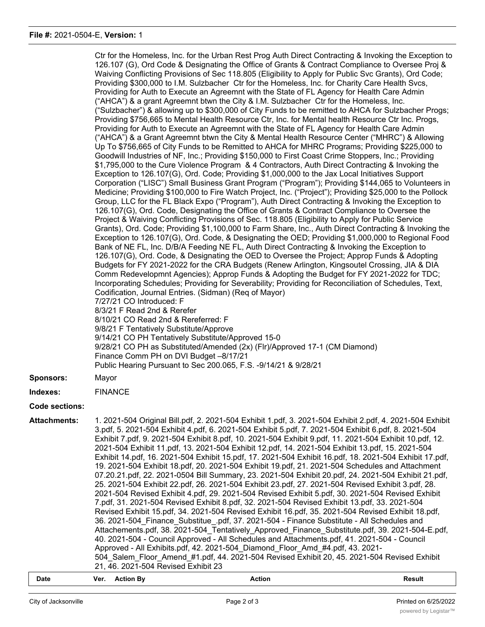|                     | Ctr for the Homeless, Inc. for the Urban Rest Prog Auth Direct Contracting & Invoking the Exception to<br>126.107 (G), Ord Code & Designating the Office of Grants & Contract Compliance to Oversee Proj &<br>Waiving Conflicting Provisions of Sec 118.805 (Eligibility to Apply for Public Svc Grants), Ord Code;<br>Providing \$300,000 to I.M. Sulzbacher Ctr for the Homeless, Inc. for Charity Care Health Svcs,<br>Providing for Auth to Execute an Agreemnt with the State of FL Agency for Health Care Admin<br>("AHCA") & a grant Agreemnt btwn the City & I.M. Sulzbacher Ctr for the Homeless, Inc.<br>("Sulzbacher") & allowing up to \$300,000 of City Funds to be remitted to AHCA for Sulzbacher Progs;<br>Providing \$756,665 to Mental Health Resource Ctr, Inc. for Mental health Resource Ctr Inc. Progs,<br>Providing for Auth to Execute an Agreemnt with the State of FL Agency for Health Care Admin<br>("AHCA") & a Grant Agreemnt btwn the City & Mental Health Resource Center ("MHRC") & Allowing<br>Up To \$756,665 of City Funds to be Remitted to AHCA for MHRC Programs; Providing \$225,000 to<br>Goodwill Industries of NF, Inc.; Providing \$150,000 to First Coast Crime Stoppers, Inc.; Providing<br>\$1,795,000 to the Cure Violence Program & 4 Contractors, Auth Direct Contracting & Invoking the<br>Exception to 126.107(G), Ord. Code; Providing \$1,000,000 to the Jax Local Initiatives Support<br>Corporation ("LISC") Small Business Grant Program ("Program"); Providing \$144,065 to Volunteers in<br>Medicine; Providing \$100,000 to Fire Watch Project, Inc. ("Project"); Providing \$25,000 to the Pollock<br>Group, LLC for the FL Black Expo ("Program"), Auth Direct Contracting & Invoking the Exception to<br>126.107(G), Ord. Code, Designating the Office of Grants & Contract Compliance to Oversee the<br>Project & Waiving Conflicting Provisions of Sec. 118.805 (Eligibility to Apply for Public Service<br>Grants), Ord. Code; Providing \$1,100,000 to Farm Share, Inc., Auth Direct Contracting & Invoking the<br>Exception to 126.107(G), Ord. Code, & Designating the OED; Providing \$1,000,000 to Regional Food<br>Bank of NE FL, Inc. D/B/A Feeding NE FL, Auth Direct Contracting & Invoking the Exception to<br>126.107(G), Ord. Code, & Designating the OED to Oversee the Project; Approp Funds & Adopting<br>Budgets for FY 2021-2022 for the CRA Budgets (Renew Arlington, Kingsoutel Crossing, JIA & DIA<br>Comm Redevelopmnt Agencies); Approp Funds & Adopting the Budget for FY 2021-2022 for TDC;<br>Incorporating Schedules; Providing for Severability; Providing for Reconciliation of Schedules, Text,<br>Codification, Journal Entries. (Sidman) (Req of Mayor)<br>7/27/21 CO Introduced: F<br>8/3/21 F Read 2nd & Rerefer<br>8/10/21 CO Read 2nd & Rereferred: F<br>9/8/21 F Tentatively Substitute/Approve<br>9/14/21 CO PH Tentatively Substitute/Approved 15-0<br>9/28/21 CO PH as Substituted/Amended (2x) (Flr)/Approved 17-1 (CM Diamond)<br>Finance Comm PH on DVI Budget -8/17/21 |
|---------------------|-------------------------------------------------------------------------------------------------------------------------------------------------------------------------------------------------------------------------------------------------------------------------------------------------------------------------------------------------------------------------------------------------------------------------------------------------------------------------------------------------------------------------------------------------------------------------------------------------------------------------------------------------------------------------------------------------------------------------------------------------------------------------------------------------------------------------------------------------------------------------------------------------------------------------------------------------------------------------------------------------------------------------------------------------------------------------------------------------------------------------------------------------------------------------------------------------------------------------------------------------------------------------------------------------------------------------------------------------------------------------------------------------------------------------------------------------------------------------------------------------------------------------------------------------------------------------------------------------------------------------------------------------------------------------------------------------------------------------------------------------------------------------------------------------------------------------------------------------------------------------------------------------------------------------------------------------------------------------------------------------------------------------------------------------------------------------------------------------------------------------------------------------------------------------------------------------------------------------------------------------------------------------------------------------------------------------------------------------------------------------------------------------------------------------------------------------------------------------------------------------------------------------------------------------------------------------------------------------------------------------------------------------------------------------------------------------------------------------------------------------------------------------------------------------------------------------------------------------------------------------------------------------------------------------------------------------------------------------------------------------------------------------------------------------------------------------------------|
|                     | Public Hearing Pursuant to Sec 200.065, F.S. -9/14/21 & 9/28/21                                                                                                                                                                                                                                                                                                                                                                                                                                                                                                                                                                                                                                                                                                                                                                                                                                                                                                                                                                                                                                                                                                                                                                                                                                                                                                                                                                                                                                                                                                                                                                                                                                                                                                                                                                                                                                                                                                                                                                                                                                                                                                                                                                                                                                                                                                                                                                                                                                                                                                                                                                                                                                                                                                                                                                                                                                                                                                                                                                                                                     |
| <b>Sponsors:</b>    | Mayor                                                                                                                                                                                                                                                                                                                                                                                                                                                                                                                                                                                                                                                                                                                                                                                                                                                                                                                                                                                                                                                                                                                                                                                                                                                                                                                                                                                                                                                                                                                                                                                                                                                                                                                                                                                                                                                                                                                                                                                                                                                                                                                                                                                                                                                                                                                                                                                                                                                                                                                                                                                                                                                                                                                                                                                                                                                                                                                                                                                                                                                                               |
| Indexes:            | <b>FINANCE</b>                                                                                                                                                                                                                                                                                                                                                                                                                                                                                                                                                                                                                                                                                                                                                                                                                                                                                                                                                                                                                                                                                                                                                                                                                                                                                                                                                                                                                                                                                                                                                                                                                                                                                                                                                                                                                                                                                                                                                                                                                                                                                                                                                                                                                                                                                                                                                                                                                                                                                                                                                                                                                                                                                                                                                                                                                                                                                                                                                                                                                                                                      |
| Code sections:      |                                                                                                                                                                                                                                                                                                                                                                                                                                                                                                                                                                                                                                                                                                                                                                                                                                                                                                                                                                                                                                                                                                                                                                                                                                                                                                                                                                                                                                                                                                                                                                                                                                                                                                                                                                                                                                                                                                                                                                                                                                                                                                                                                                                                                                                                                                                                                                                                                                                                                                                                                                                                                                                                                                                                                                                                                                                                                                                                                                                                                                                                                     |
| <b>Attachments:</b> | 1. 2021-504 Original Bill.pdf, 2. 2021-504 Exhibit 1.pdf, 3. 2021-504 Exhibit 2.pdf, 4. 2021-504 Exhibit<br>3.pdf, 5. 2021-504 Exhibit 4.pdf, 6. 2021-504 Exhibit 5.pdf, 7. 2021-504 Exhibit 6.pdf, 8. 2021-504<br>Exhibit 7.pdf, 9. 2021-504 Exhibit 8.pdf, 10. 2021-504 Exhibit 9.pdf, 11. 2021-504 Exhibit 10.pdf, 12.<br>2021-504 Exhibit 11.pdf, 13. 2021-504 Exhibit 12.pdf, 14. 2021-504 Exhibit 13.pdf, 15. 2021-504<br>Exhibit 14.pdf, 16. 2021-504 Exhibit 15.pdf, 17. 2021-504 Exhibit 16.pdf, 18. 2021-504 Exhibit 17.pdf,<br>19. 2021-504 Exhibit 18.pdf, 20. 2021-504 Exhibit 19.pdf, 21. 2021-504 Schedules and Attachment<br>07.20.21.pdf, 22. 2021-0504 Bill Summary, 23. 2021-504 Exhibit 20.pdf, 24. 2021-504 Exhibit 21.pdf,<br>25. 2021-504 Exhibit 22.pdf, 26. 2021-504 Exhibit 23.pdf, 27. 2021-504 Revised Exhibit 3.pdf, 28.<br>2021-504 Revised Exhibit 4.pdf, 29. 2021-504 Revised Exhibit 5.pdf, 30. 2021-504 Revised Exhibit<br>7.pdf, 31. 2021-504 Revised Exhibit 8.pdf, 32. 2021-504 Revised Exhibit 13.pdf, 33. 2021-504<br>Revised Exhibit 15.pdf, 34. 2021-504 Revised Exhibit 16.pdf, 35. 2021-504 Revised Exhibit 18.pdf,<br>36. 2021-504 Finance Substitue .pdf, 37. 2021-504 - Finance Substitute - All Schedules and<br>Attachements.pdf, 38. 2021-504 Tentatively Approved Finance Substitute.pdf, 39. 2021-504-E.pdf,<br>40. 2021-504 - Council Approved - All Schedules and Attachments.pdf, 41. 2021-504 - Council<br>Approved - All Exhibits.pdf, 42. 2021-504 Diamond Floor Amd #4.pdf, 43. 2021-<br>504 Salem Floor Amend #1.pdf, 44. 2021-504 Revised Exhibit 20, 45. 2021-504 Revised Exhibit<br>21, 46. 2021-504 Revised Exhibit 23                                                                                                                                                                                                                                                                                                                                                                                                                                                                                                                                                                                                                                                                                                                                                                                                                                                                                                                                                                                                                                                                                                                                                                                                                                                                                                                                                                                               |

## **Date Ver. Action By Action Result**